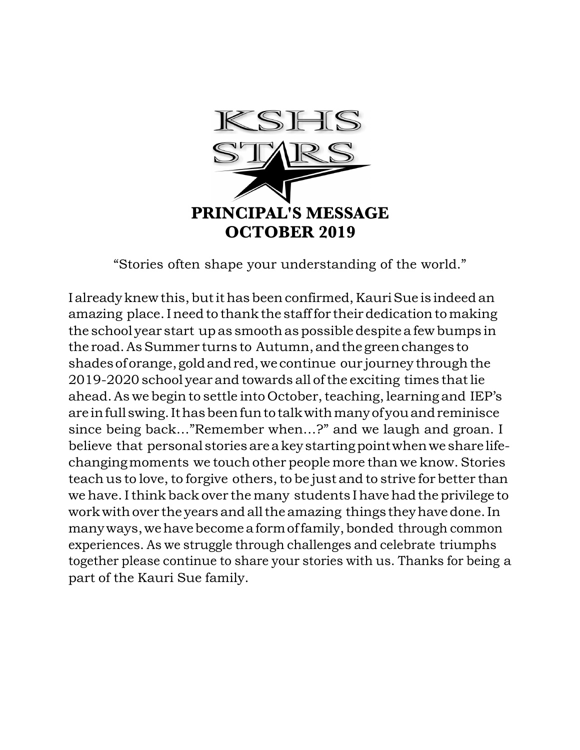

"Stories often shape your understanding of the world."

I already knew this, but it has been confirmed, Kauri Sue is indeed an amazing place.Ineed to thankthe stafffor their dedicationtomaking the school year start up as smoothas possibledespite a few bumps in the road.AsSummer turns to Autumn,andthegreenchanges to shadesoforange,goldandred,we continue our journey through the 2019-2020 school year and towards all ofthe exciting times thatlie ahead. As we begin to settle into October, teaching, learning and IEP's are infullswing.Ithasbeenfuntotalkwithmanyofyouandreminisce since being back…"Remember when…?" and we laugh and groan. I believe that personal storiesareakeystartingpointwhenwe share lifechangingmoments we touch other people more than we know. Stories teach us to love, to forgive others, to be just and to strive for better than we have. I think back over the many students I have had the privilege to work with over the years and all the amazing things they have done. In manyways,wehavebecomeaformoffamily,bonded through common experiences. As we struggle through challenges and celebrate triumphs together please continue to share your stories with us. Thanks for being a part of the Kauri Sue family.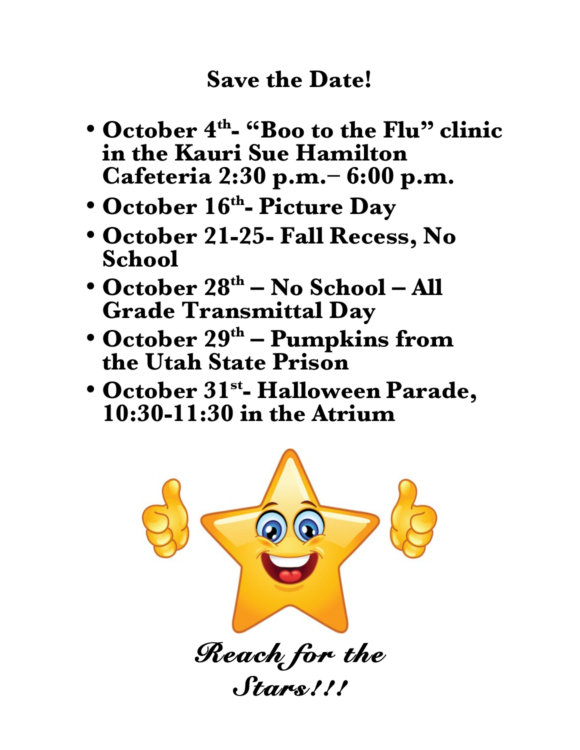# **Save the Date!**

- **October 4th- "Boo to the Flu" clinic in the Kauri Sue Hamilton Cafeteria 2:30 p.m.– 6:00 p.m.**
- **October 16th- Picture Day**
- **October 21-25- Fall Recess, No School**
- **October 28th – No School – All Grade Transmittal Day**
- **October 29th – Pumpkins from the Utah State Prison**
- **October 31st- Halloween Parade, 10:30-11:30 in the Atrium**

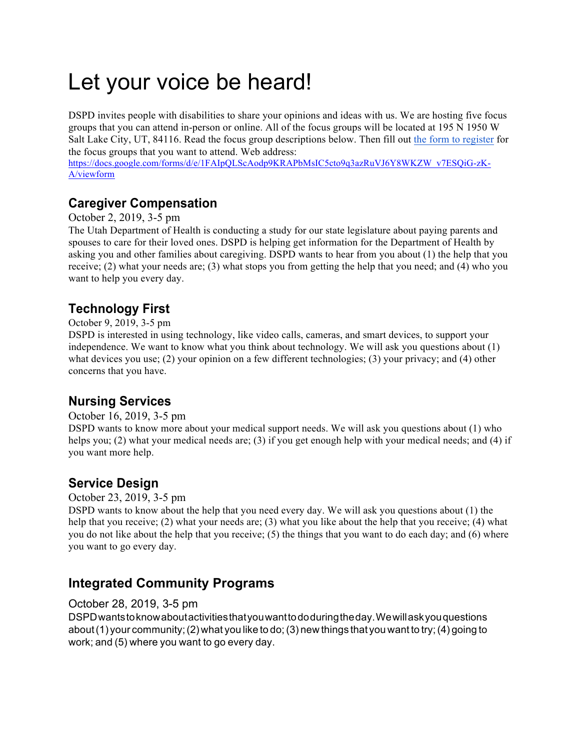# Let your voice be heard!

DSPD invites people with disabilities to share your opinions and ideas with us. We are hosting five focus groups that you can attend in-person or online. All of the focus groups will be located at 195 N 1950 W Salt Lake City, UT, 84116. Read the focus group descriptions below. Then fill out the form to register for the focus groups that you want to attend. Web address:

https://docs.google.com/forms/d/e/1FAIpQLScAodp9KRAPbMsIC5cto9q3azRuVJ6Y8WKZW\_v7ESQiG-zK-A/viewform

# **Caregiver Compensation**

### October 2, 2019, 3-5 pm

The Utah Department of Health is conducting a study for our state legislature about paying parents and spouses to care for their loved ones. DSPD is helping get information for the Department of Health by asking you and other families about caregiving. DSPD wants to hear from you about (1) the help that you receive; (2) what your needs are; (3) what stops you from getting the help that you need; and (4) who you want to help you every day.

# **Technology First**

### October 9, 2019, 3-5 pm

DSPD is interested in using technology, like video calls, cameras, and smart devices, to support your independence. We want to know what you think about technology. We will ask you questions about (1) what devices you use; (2) your opinion on a few different technologies; (3) your privacy; and (4) other concerns that you have.

## **Nursing Services**

### October 16, 2019, 3-5 pm

DSPD wants to know more about your medical support needs. We will ask you questions about (1) who helps you; (2) what your medical needs are; (3) if you get enough help with your medical needs; and (4) if you want more help.

## **Service Design**

### October 23, 2019, 3-5 pm

DSPD wants to know about the help that you need every day. We will ask you questions about (1) the help that you receive; (2) what your needs are; (3) what you like about the help that you receive; (4) what you do not like about the help that you receive; (5) the things that you want to do each day; and (6) where you want to go every day.

## **Integrated Community Programs**

### October 28, 2019, 3-5 pm

DSPDwantstoknowaboutactivitiesthatyouwanttododuringtheday.Wewillaskyouquestions about(1) your community;(2) what you like to do;(3) new things that you want to try;(4) going to work; and (5) where you want to go every day.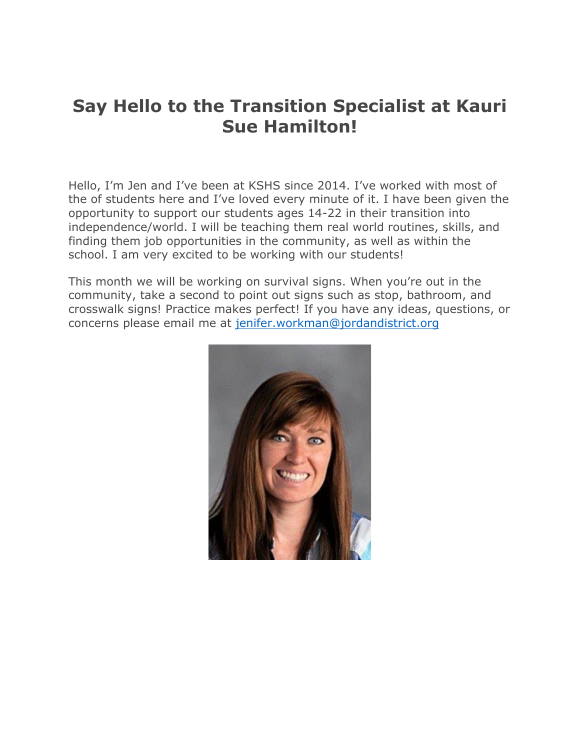# **Say Hello to the Transition Specialist at Kauri Sue Hamilton!**

Hello, I'm Jen and I've been at KSHS since 2014. I've worked with most of the of students here and I've loved every minute of it. I have been given the opportunity to support our students ages 14-22 in their transition into independence/world. I will be teaching them real world routines, skills, and finding them job opportunities in the community, as well as within the school. I am very excited to be working with our students!

This month we will be working on survival signs. When you're out in the community, take a second to point out signs such as stop, bathroom, and crosswalk signs! Practice makes perfect! If you have any ideas, questions, or concerns please email me at jenifer.workman@jordandistrict.org

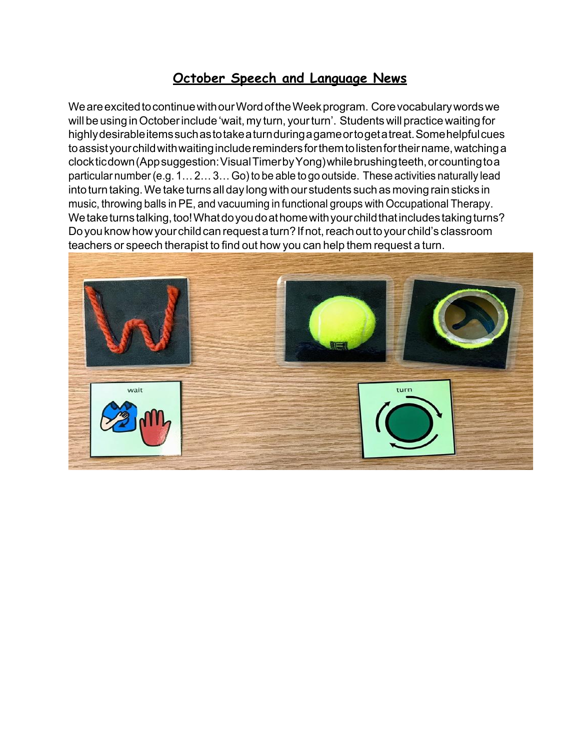## **October Speech and Language News**

We are excited to continue with our Word of the Week program. Core vocabulary words we will be using in October include 'wait, my turn, your turn'. Students will practice waiting for highlydesirableitemssuchastotakeaturnduringagameortogetatreat.Somehelpfulcues toassistyourchildwithwaitingincluderemindersforthemtolistenfortheirname,watchinga clockticdown(Appsuggestion:VisualTimerbyYong)whilebrushingteeth,orcountingtoa particular number (e.g. 1... 2... 3... Go) to be able to go outside. These activities naturally lead into turn taking. We take turns all day long with our students such as moving rain sticks in music, throwing balls inPE, and vacuuming in functional groups with Occupational Therapy. Wetaketurnstalking,too!Whatdoyoudoathomewithyourchildthatincludestakingturns? Do you know how your child can request a turn? If not, reach out to your child's classroom teachers or speech therapist to find out how you can help them request a turn.

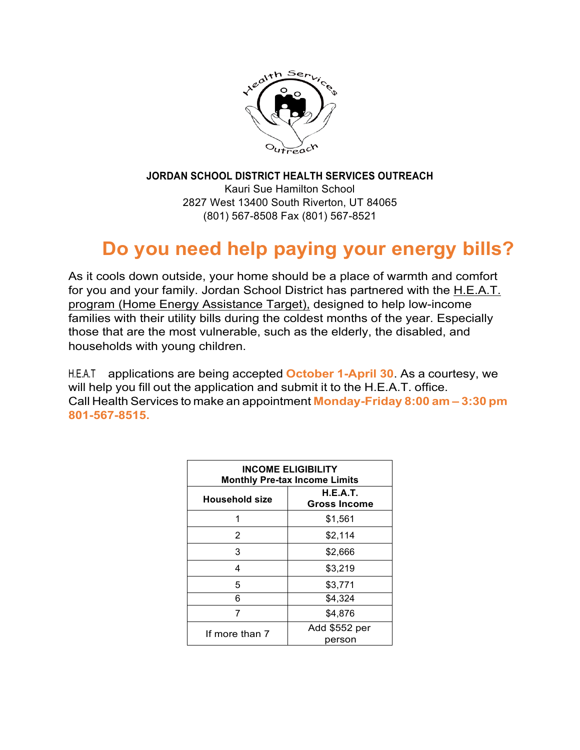

**JORDAN SCHOOL DISTRICT HEALTH SERVICES OUTREACH** Kauri Sue Hamilton School 2827 West 13400 South Riverton, UT 84065 (801) 567-8508 Fax (801) 567-8521

# **Do you need help paying your energy bills?**

As it cools down outside, your home should be a place of warmth and comfort for you and your family. Jordan School District has partnered with the H.E.A.T. program (Home Energy Assistance Target), designed to help low-income families with their utility bills during the coldest months of the year. Especially those that are the most vulnerable, such as the elderly, the disabled, and households with young children.

H.E.A.T applications are being accepted **October 1-April 30**. As a courtesy, we will help you fill out the application and submit it to the H.E.A.T. office. Call Health Services to make an appointment **Monday-Friday 8:00 am – 3:30 pm 801-567-8515.**

| <b>INCOME ELIGIBILITY</b><br><b>Monthly Pre-tax Income Limits</b> |                                        |
|-------------------------------------------------------------------|----------------------------------------|
| Household size                                                    | <b>H.E.A.T.</b><br><b>Gross Income</b> |
|                                                                   | \$1,561                                |
| 2                                                                 | \$2,114                                |
| 3                                                                 | \$2,666                                |
| 4                                                                 | \$3,219                                |
| 5                                                                 | \$3,771                                |
| 6                                                                 | \$4,324                                |
|                                                                   | \$4.876                                |
| If more than 7                                                    | Add \$552 per<br>person                |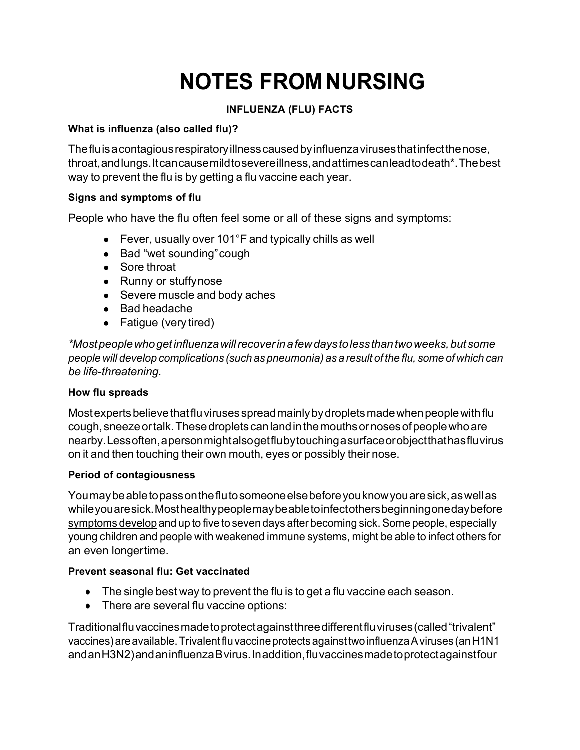# **NOTES FROMNURSING**

### **INFLUENZA (FLU) FACTS**

### **What is influenza (also called flu)?**

Thefluisacontagiousrespiratoryillnesscausedbyinfluenzavirusesthatinfectthenose, throat,andlungs.Itcancausemildtosevereillness,andattimescanleadtodeath\*.Thebest way to prevent the flu is by getting a flu vaccine each year.

### **Signs and symptoms of flu**

People who have the flu often feel some or all of these signs and symptoms:

- Fever, usually over 101°F and typically chills as well
- Bad "wet sounding" cough
- Sore throat
- Runny or stuffynose
- Severe muscle and body aches
- Bad headache
- Fatigue (very tired)

*\*Mostpeoplewhogetinfluenzawillrecoverinafewdaystolessthantwoweeks,butsome people will develop complications (such as pneumonia) as a result of the flu, some of which can be life-threatening.*

### **How flu spreads**

Most experts believe that flu viruses spread mainly by droplets made when people with flu cough, sneezeortalk.Thesedroplets canlandinthemouthsornosesofpeoplewhoare nearby.Lessoften,apersonmightalsogetflubytouchingasurfaceorobjectthathasfluvirus on it and then touching their own mouth, eyes or possibly their nose.

### **Period of contagiousness**

Youmaybeabletopassontheflutosomeoneelsebeforeyouknowyouaresick,aswellas whileyouaresick.Mosthealthypeoplemaybeabletoinfectothersbeginningonedaybefore symptoms develop and up to five to seven days after becoming sick. Some people, especially young children and people with weakened immune systems, might be able to infect others for an even longertime.

### **Prevent seasonal flu: Get vaccinated**

- The single best way to prevent the flu is to get a flu vaccine each season.
- There are several flu vaccine options:

Traditionalfluvaccinesmadetoprotectagainstthreedifferentfluviruses(called"trivalent" vaccines)areavailable.TrivalentfluvaccineprotectsagainsttwoinfluenzaAviruses (anH1N1 andanH3N2)andaninfluenzaBvirus.Inaddition,fluvaccinesmadetoprotectagainstfour